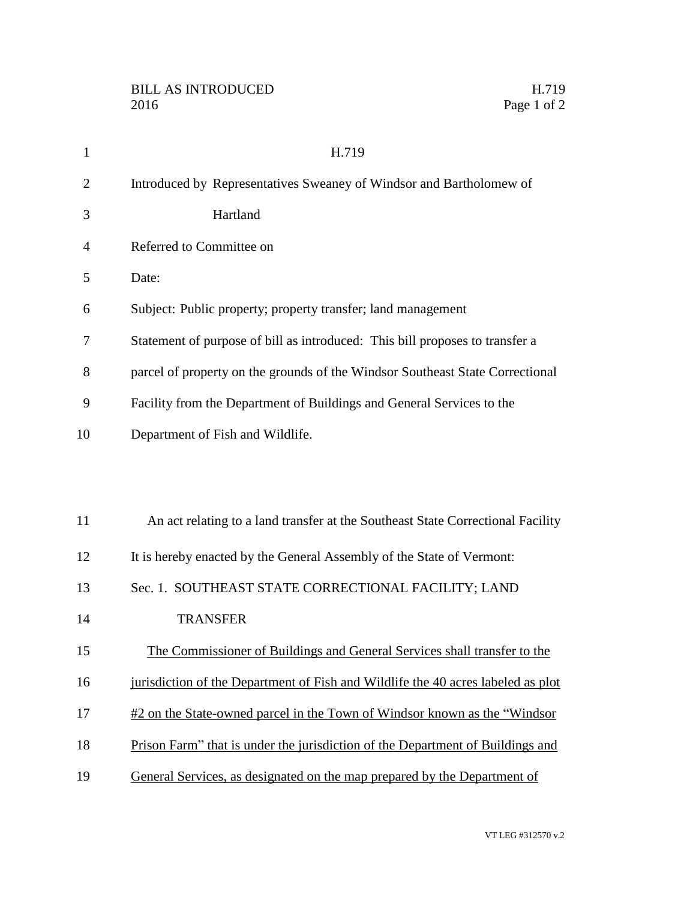| $\mathbf{1}$   | H.719                                                                            |
|----------------|----------------------------------------------------------------------------------|
| $\overline{2}$ | Introduced by Representatives Sweaney of Windsor and Bartholomew of              |
| 3              | Hartland                                                                         |
| 4              | Referred to Committee on                                                         |
| 5              | Date:                                                                            |
| 6              | Subject: Public property; property transfer; land management                     |
| 7              | Statement of purpose of bill as introduced: This bill proposes to transfer a     |
| 8              | parcel of property on the grounds of the Windsor Southeast State Correctional    |
| 9              | Facility from the Department of Buildings and General Services to the            |
| 10             | Department of Fish and Wildlife.                                                 |
|                |                                                                                  |
|                |                                                                                  |
| 11             | An act relating to a land transfer at the Southeast State Correctional Facility  |
| 12             | It is hereby enacted by the General Assembly of the State of Vermont:            |
| 13             | Sec. 1. SOUTHEAST STATE CORRECTIONAL FACILITY; LAND                              |
| 14             | <b>TRANSFER</b>                                                                  |
| 15             | The Commissioner of Buildings and General Services shall transfer to the         |
| 16             | jurisdiction of the Department of Fish and Wildlife the 40 acres labeled as plot |
| 17             | #2 on the State-owned parcel in the Town of Windsor known as the "Windsor"       |
| 18             | Prison Farm" that is under the jurisdiction of the Department of Buildings and   |
|                |                                                                                  |

General Services, as designated on the map prepared by the Department of